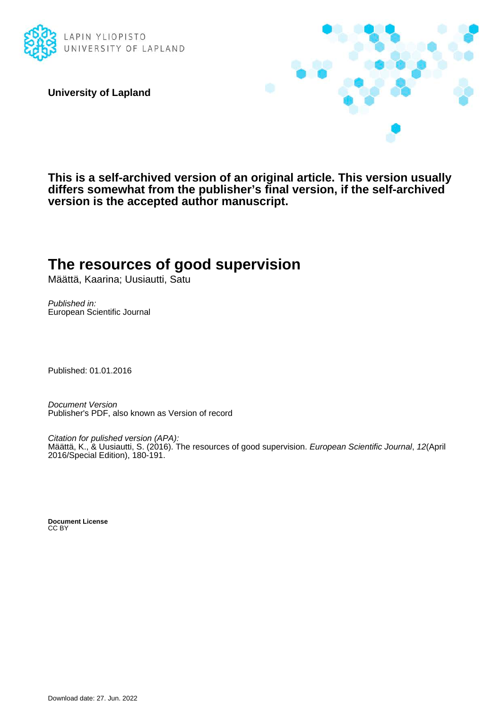

**University of Lapland**



**This is a self-archived version of an original article. This version usually differs somewhat from the publisher's final version, if the self-archived version is the accepted author manuscript.**

# **The resources of good supervision**

Määttä, Kaarina; Uusiautti, Satu

Published in: European Scientific Journal

Published: 01.01.2016

Document Version Publisher's PDF, also known as Version of record

Citation for pulished version (APA): Määttä, K., & Uusiautti, S. (2016). The resources of good supervision. European Scientific Journal, 12(April 2016/Special Edition), 180-191.

**Document License** CC BY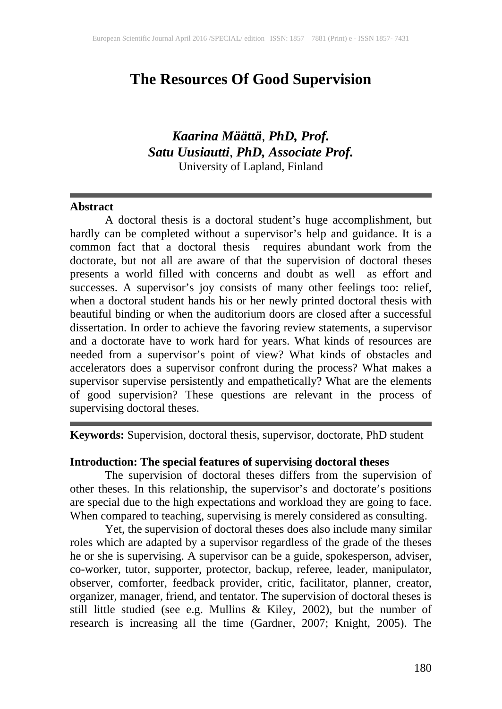# **The Resources Of Good Supervision**

# *Kaarina Määttä*, *PhD, Prof. Satu Uusiautti*, *PhD, Associate Prof.* University of Lapland, Finland

#### **Abstract**

A doctoral thesis is a doctoral student's huge accomplishment, but hardly can be completed without a supervisor's help and guidance. It is a common fact that a doctoral thesis requires abundant work from the doctorate, but not all are aware of that the supervision of doctoral theses presents a world filled with concerns and doubt as well as effort and successes. A supervisor's joy consists of many other feelings too: relief, when a doctoral student hands his or her newly printed doctoral thesis with beautiful binding or when the auditorium doors are closed after a successful dissertation. In order to achieve the favoring review statements, a supervisor and a doctorate have to work hard for years. What kinds of resources are needed from a supervisor's point of view? What kinds of obstacles and accelerators does a supervisor confront during the process? What makes a supervisor supervise persistently and empathetically? What are the elements of good supervision? These questions are relevant in the process of supervising doctoral theses.

**Keywords:** Supervision, doctoral thesis, supervisor, doctorate, PhD student

#### **Introduction: The special features of supervising doctoral theses**

The supervision of doctoral theses differs from the supervision of other theses. In this relationship, the supervisor's and doctorate's positions are special due to the high expectations and workload they are going to face. When compared to teaching, supervising is merely considered as consulting.

Yet, the supervision of doctoral theses does also include many similar roles which are adapted by a supervisor regardless of the grade of the theses he or she is supervising. A supervisor can be a guide, spokesperson, adviser, co-worker, tutor, supporter, protector, backup, referee, leader, manipulator, observer, comforter, feedback provider, critic, facilitator, planner, creator, organizer, manager, friend, and tentator. The supervision of doctoral theses is still little studied (see e.g. Mullins & Kiley, 2002), but the number of research is increasing all the time (Gardner, 2007; Knight, 2005). The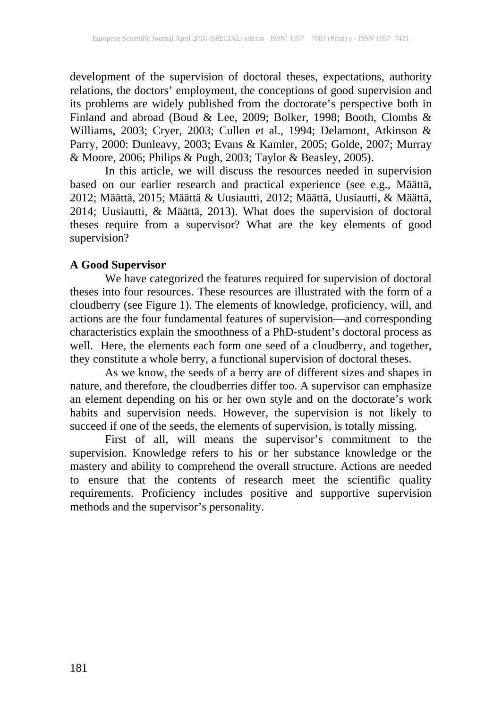development of the supervision of doctoral theses, expectations, authority relations, the doctors' employment, the conceptions of good supervision and its problems are widely published from the doctorate's perspective both in Finland and abroad (Boud & Lee, 2009; Bolker, 1998; Booth, Clombs & Williams, 2003; Cryer, 2003; Cullen et al., 1994; Delamont, Atkinson & Parry, 2000: Dunleavy, 2003; Evans & Kamler, 2005; Golde, 2007; Murray & Moore, 2006; Philips & Pugh, 2003; Taylor & Beasley, 2005).

In this article, we will discuss the resources needed in supervision based on our earlier research and practical experience (see e.g., Määttä, 2012; Määttä, 2015; Määttä & Uusiautti, 2012; Määttä, Uusiautti, & Määttä, 2014; Uusiautti, & Määttä, 2013). What does the supervision of doctoral theses require from a supervisor? What are the key elements of good supervision?

# **A Good Supervisor**

We have categorized the features required for supervision of doctoral theses into four resources. These resources are illustrated with the form of a cloudberry (see Figure 1). The elements of knowledge, proficiency, will, and actions are the four fundamental features of supervision—and corresponding characteristics explain the smoothness of a PhD-student's doctoral process as well. Here, the elements each form one seed of a cloudberry, and together, they constitute a whole berry, a functional supervision of doctoral theses.

As we know, the seeds of a berry are of different sizes and shapes in nature, and therefore, the cloudberries differ too. A supervisor can emphasize an element depending on his or her own style and on the doctorate's work habits and supervision needs. However, the supervision is not likely to succeed if one of the seeds, the elements of supervision, is totally missing.

First of all, will means the supervisor's commitment to the supervision. Knowledge refers to his or her substance knowledge or the mastery and ability to comprehend the overall structure. Actions are needed to ensure that the contents of research meet the scientific quality requirements. Proficiency includes positive and supportive supervision methods and the supervisor's personality.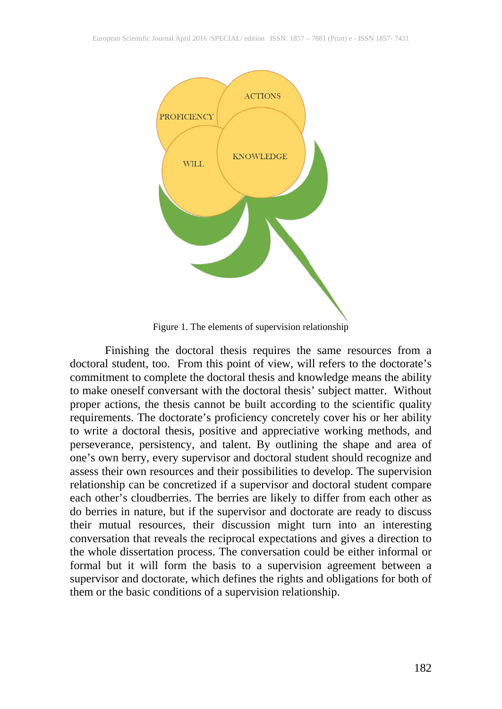

Figure 1. The elements of supervision relationship

Finishing the doctoral thesis requires the same resources from a doctoral student, too. From this point of view, will refers to the doctorate's commitment to complete the doctoral thesis and knowledge means the ability to make oneself conversant with the doctoral thesis' subject matter. Without proper actions, the thesis cannot be built according to the scientific quality requirements. The doctorate's proficiency concretely cover his or her ability to write a doctoral thesis, positive and appreciative working methods, and perseverance, persistency, and talent. By outlining the shape and area of one's own berry, every supervisor and doctoral student should recognize and assess their own resources and their possibilities to develop. The supervision relationship can be concretized if a supervisor and doctoral student compare each other's cloudberries. The berries are likely to differ from each other as do berries in nature, but if the supervisor and doctorate are ready to discuss their mutual resources, their discussion might turn into an interesting conversation that reveals the reciprocal expectations and gives a direction to the whole dissertation process. The conversation could be either informal or formal but it will form the basis to a supervision agreement between a supervisor and doctorate, which defines the rights and obligations for both of them or the basic conditions of a supervision relationship.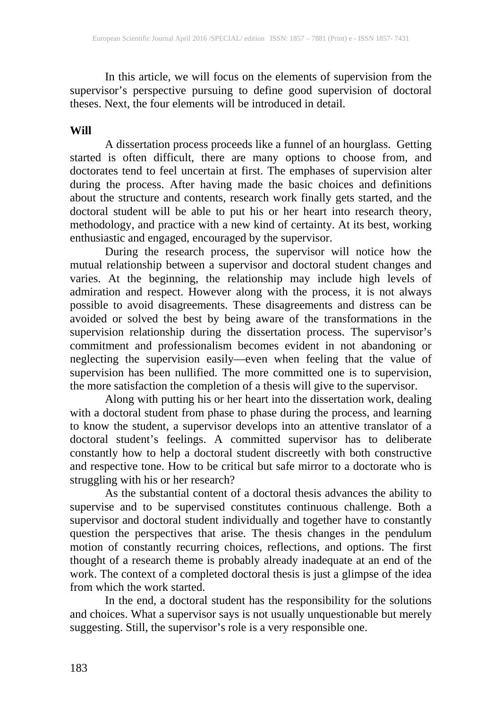In this article, we will focus on the elements of supervision from the supervisor's perspective pursuing to define good supervision of doctoral theses. Next, the four elements will be introduced in detail.

#### **Will**

A dissertation process proceeds like a funnel of an hourglass. Getting started is often difficult, there are many options to choose from, and doctorates tend to feel uncertain at first. The emphases of supervision alter during the process. After having made the basic choices and definitions about the structure and contents, research work finally gets started, and the doctoral student will be able to put his or her heart into research theory, methodology, and practice with a new kind of certainty. At its best, working enthusiastic and engaged, encouraged by the supervisor.

During the research process, the supervisor will notice how the mutual relationship between a supervisor and doctoral student changes and varies. At the beginning, the relationship may include high levels of admiration and respect. However along with the process, it is not always possible to avoid disagreements. These disagreements and distress can be avoided or solved the best by being aware of the transformations in the supervision relationship during the dissertation process. The supervisor's commitment and professionalism becomes evident in not abandoning or neglecting the supervision easily—even when feeling that the value of supervision has been nullified. The more committed one is to supervision, the more satisfaction the completion of a thesis will give to the supervisor.

Along with putting his or her heart into the dissertation work, dealing with a doctoral student from phase to phase during the process, and learning to know the student, a supervisor develops into an attentive translator of a doctoral student's feelings. A committed supervisor has to deliberate constantly how to help a doctoral student discreetly with both constructive and respective tone. How to be critical but safe mirror to a doctorate who is and respective tone. How to be critical but safe mirror to a doctorate who is struggling with his or her research?

As the substantial content of a doctoral thesis advances the ability to supervise and to be supervised constitutes continuous challenge. Both a supervisor and doctoral student individually and together have to constantly question the perspectives that arise. The thesis changes in the pendulum motion of constantly recurring choices, reflections, and options. The first thought of a research theme is probably already inadequate at an end of the work. The context of a completed doctoral thesis is just a glimpse of the idea from which the work started.

In the end, a doctoral student has the responsibility for the solutions and choices. What a supervisor says is not usually unquestionable but merely suggesting. Still, the supervisor's role is a very responsible one.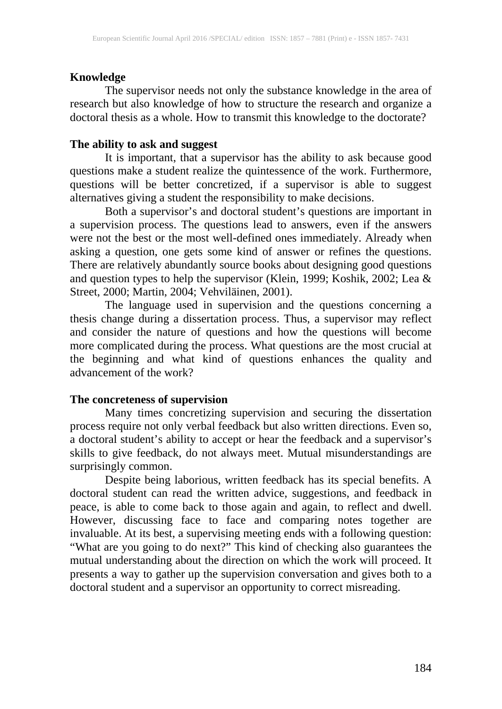# **Knowledge**

The supervisor needs not only the substance knowledge in the area of research but also knowledge of how to structure the research and organize a doctoral thesis as a whole. How to transmit this knowledge to the doctorate?

## **The ability to ask and suggest**

It is important, that a supervisor has the ability to ask because good questions make a student realize the quintessence of the work. Furthermore, questions will be better concretized, if a supervisor is able to suggest alternatives giving a student the responsibility to make decisions.

Both a supervisor's and doctoral student's questions are important in a supervision process. The questions lead to answers, even if the answers were not the best or the most well-defined ones immediately. Already when asking a question, one gets some kind of answer or refines the questions. There are relatively abundantly source books about designing good questions and question types to help the supervisor (Klein, 1999; Koshik, 2002; Lea & Street, 2000; Martin, 2004; Vehviläinen, 2001).

The language used in supervision and the questions concerning a thesis change during a dissertation process. Thus, a supervisor may reflect and consider the nature of questions and how the questions will become more complicated during the process. What questions are the most crucial at the beginning and what kind of questions enhances the quality and advancement of the work?

#### **The concreteness of supervision**

Many times concretizing supervision and securing the dissertation process require not only verbal feedback but also written directions. Even so, a doctoral student's ability to accept or hear the feedback and a supervisor's skills to give feedback, do not always meet. Mutual misunderstandings are surprisingly common.

Despite being laborious, written feedback has its special benefits. A doctoral student can read the written advice, suggestions, and feedback in peace, is able to come back to those again and again, to reflect and dwell. However, discussing face to face and comparing notes together are invaluable. At its best, a supervising meeting ends with a following question: "What are you going to do next?" This kind of checking also guarantees the mutual understanding about the direction on which the work will proceed. It presents a way to gather up the supervision conversation and gives both to a doctoral student and a supervisor an opportunity to correct misreading.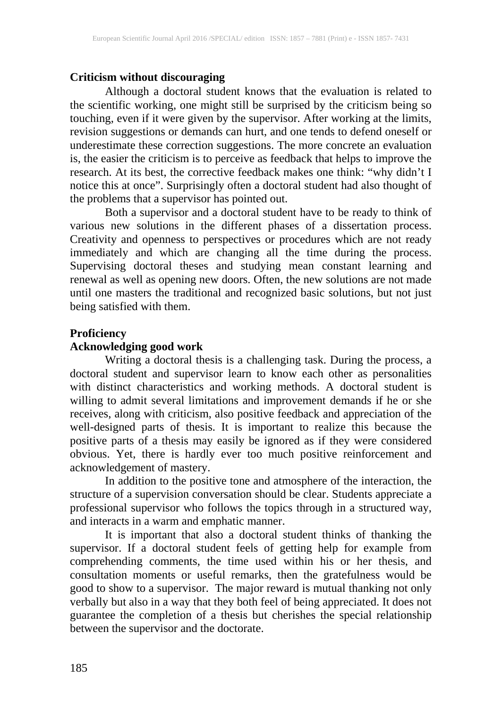#### **Criticism without discouraging**

Although a doctoral student knows that the evaluation is related to the scientific working, one might still be surprised by the criticism being so touching, even if it were given by the supervisor. After working at the limits, revision suggestions or demands can hurt, and one tends to defend oneself or underestimate these correction suggestions. The more concrete an evaluation is, the easier the criticism is to perceive as feedback that helps to improve the research. At its best, the corrective feedback makes one think: "why didn't I notice this at once". Surprisingly often a doctoral student had also thought of the problems that a supervisor has pointed out.

Both a supervisor and a doctoral student have to be ready to think of various new solutions in the different phases of a dissertation process. Creativity and openness to perspectives or procedures which are not ready immediately and which are changing all the time during the process. Supervising doctoral theses and studying mean constant learning and renewal as well as opening new doors. Often, the new solutions are not made until one masters the traditional and recognized basic solutions, but not just being satisfied with them.

#### **Proficiency**

# **Acknowledging good work**

Writing a doctoral thesis is a challenging task. During the process, a doctoral student and supervisor learn to know each other as personalities with distinct characteristics and working methods. A doctoral student is willing to admit several limitations and improvement demands if he or she receives, along with criticism, also positive feedback and appreciation of the well-designed parts of thesis. It is important to realize this because the positive parts of a thesis may easily be ignored as if they were considered obvious. Yet, there is hardly ever too much positive reinforcement and acknowledgement of mastery.

In addition to the positive tone and atmosphere of the interaction, the structure of a supervision conversation should be clear. Students appreciate a professional supervisor who follows the topics through in a structured way, and interacts in a warm and emphatic manner.

It is important that also a doctoral student thinks of thanking the supervisor. If a doctoral student feels of getting help for example from comprehending comments, the time used within his or her thesis, and consultation moments or useful remarks, then the gratefulness would be good to show to a supervisor. The major reward is mutual thanking not only verbally but also in a way that they both feel of being appreciated. It does not guarantee the completion of a thesis but cherishes the special relationship between the supervisor and the doctorate.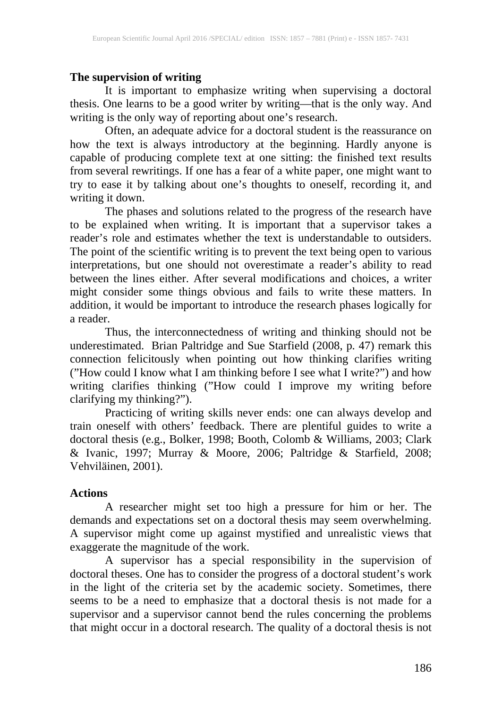# **The supervision of writing**

It is important to emphasize writing when supervising a doctoral thesis. One learns to be a good writer by writing—that is the only way. And writing is the only way of reporting about one's research.

Often, an adequate advice for a doctoral student is the reassurance on how the text is always introductory at the beginning. Hardly anyone is capable of producing complete text at one sitting: the finished text results from several rewritings. If one has a fear of a white paper, one might want to try to ease it by talking about one's thoughts to oneself, recording it, and writing it down.

The phases and solutions related to the progress of the research have to be explained when writing. It is important that a supervisor takes a reader's role and estimates whether the text is understandable to outsiders. The point of the scientific writing is to prevent the text being open to various interpretations, but one should not overestimate a reader's ability to read between the lines either. After several modifications and choices, a writer might consider some things obvious and fails to write these matters. In addition, it would be important to introduce the research phases logically for a reader.

Thus, the interconnectedness of writing and thinking should not be underestimated. Brian Paltridge and Sue Starfield (2008, p. 47) remark this connection felicitously when pointing out how thinking clarifies writing ("How could I know what I am thinking before I see what I write?") and how writing clarifies thinking ("How could I improve my writing before clarifying my thinking?").

Practicing of writing skills never ends: one can always develop and train oneself with others' feedback. There are plentiful guides to write a doctoral thesis (e.g., Bolker, 1998; Booth, Colomb & Williams, 2003; Clark & Ivanic, 1997; Murray & Moore, 2006; Paltridge & Starfield, 2008; Vehviläinen, 2001).

# **Actions**

A researcher might set too high a pressure for him or her. The demands and expectations set on a doctoral thesis may seem overwhelming. A supervisor might come up against mystified and unrealistic views that exaggerate the magnitude of the work.

A supervisor has a special responsibility in the supervision of doctoral theses. One has to consider the progress of a doctoral student's work in the light of the criteria set by the academic society. Sometimes, there seems to be a need to emphasize that a doctoral thesis is not made for a supervisor and a supervisor cannot bend the rules concerning the problems that might occur in a doctoral research. The quality of a doctoral thesis is not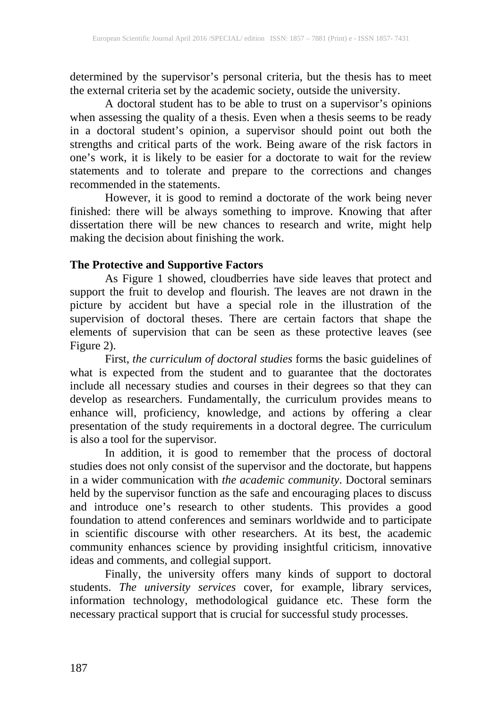determined by the supervisor's personal criteria, but the thesis has to meet the external criteria set by the academic society, outside the university.

A doctoral student has to be able to trust on a supervisor's opinions when assessing the quality of a thesis. Even when a thesis seems to be ready in a doctoral student's opinion, a supervisor should point out both the strengths and critical parts of the work. Being aware of the risk factors in one's work, it is likely to be easier for a doctorate to wait for the review statements and to tolerate and prepare to the corrections and changes recommended in the statements.

However, it is good to remind a doctorate of the work being never finished: there will be always something to improve. Knowing that after dissertation there will be new chances to research and write, might help making the decision about finishing the work.

# **The Protective and Supportive Factors**

As Figure 1 showed, cloudberries have side leaves that protect and support the fruit to develop and flourish. The leaves are not drawn in the picture by accident but have a special role in the illustration of the supervision of doctoral theses. There are certain factors that shape the elements of supervision that can be seen as these protective leaves (see Figure 2).

First, *the curriculum of doctoral studies* forms the basic guidelines of what is expected from the student and to guarantee that the doctorates include all necessary studies and courses in their degrees so that they can develop as researchers. Fundamentally, the curriculum provides means to enhance will, proficiency, knowledge, and actions by offering a clear presentation of the study requirements in a doctoral degree. The curriculum is also a tool for the supervisor.

In addition, it is good to remember that the process of doctoral studies does not only consist of the supervisor and the doctorate, but happens in a wider communication with *the academic community*. Doctoral seminars held by the supervisor function as the safe and encouraging places to discuss and introduce one's research to other students. This provides a good foundation to attend conferences and seminars worldwide and to participate in scientific discourse with other researchers. At its best, the academic community enhances science by providing insightful criticism, innovative ideas and comments, and collegial support.

Finally, the university offers many kinds of support to doctoral students. *The university services* cover, for example, library services, information technology, methodological guidance etc. These form the necessary practical support that is crucial for successful study processes.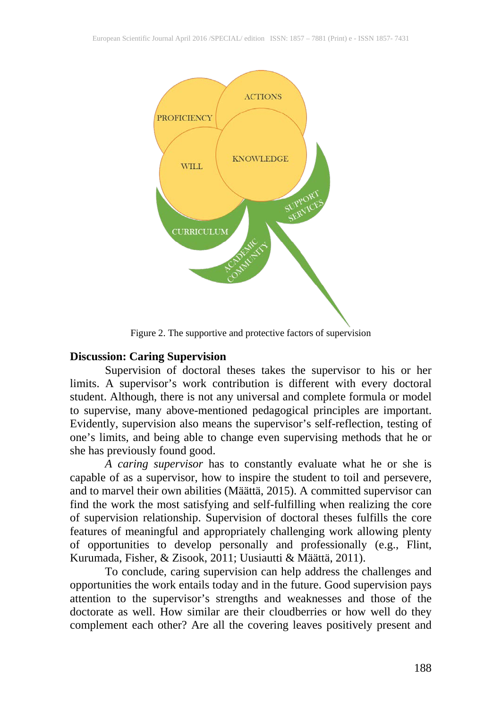

Figure 2. The supportive and protective factors of supervision

# **Discussion: Caring Supervision**

Supervision of doctoral theses takes the supervisor to his or her limits. A supervisor's work contribution is different with every doctoral student. Although, there is not any universal and complete formula or model to supervise, many above-mentioned pedagogical principles are important. Evidently, supervision also means the supervisor's self-reflection, testing of one's limits, and being able to change even supervising methods that he or she has previously found good.

*A caring supervisor* has to constantly evaluate what he or she is capable of as a supervisor, how to inspire the student to toil and persevere, and to marvel their own abilities (Määttä, 2015). A committed supervisor can find the work the most satisfying and self-fulfilling when realizing the core of supervision relationship. Supervision of doctoral theses fulfills the core features of meaningful and appropriately challenging work allowing plenty of opportunities to develop personally and professionally (e.g., Flint, Kurumada, Fisher, & Zisook, 2011; Uusiautti & Määttä, 2011).

To conclude, caring supervision can help address the challenges and opportunities the work entails today and in the future. Good supervision pays attention to the supervisor's strengths and weaknesses and those of the doctorate as well. How similar are their cloudberries or how well do they complement each other? Are all the covering leaves positively present and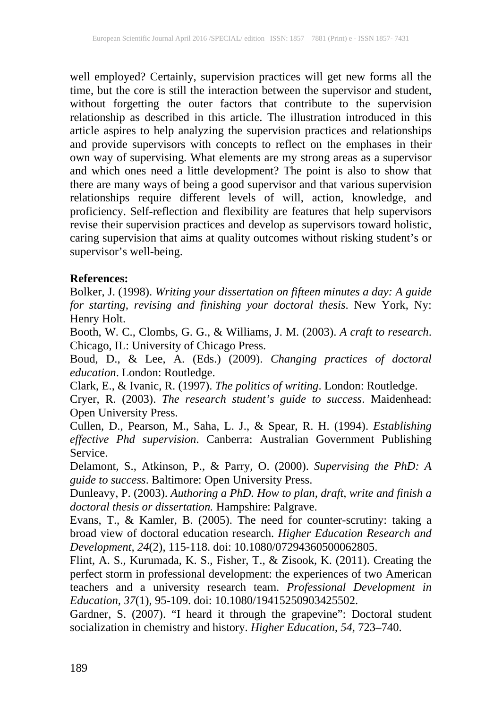well employed? Certainly, supervision practices will get new forms all the time, but the core is still the interaction between the supervisor and student, without forgetting the outer factors that contribute to the supervision relationship as described in this article. The illustration introduced in this article aspires to help analyzing the supervision practices and relationships and provide supervisors with concepts to reflect on the emphases in their own way of supervising. What elements are my strong areas as a supervisor and which ones need a little development? The point is also to show that there are many ways of being a good supervisor and that various supervision relationships require different levels of will, action, knowledge, and proficiency. Self-reflection and flexibility are features that help supervisors revise their supervision practices and develop as supervisors toward holistic, caring supervision that aims at quality outcomes without risking student's or supervisor's well-being.

## **References:**

Bolker, J. (1998). *Writing your dissertation on fifteen minutes a day: A guide for starting, revising and finishing your doctoral thesis*. New York, Ny: Henry Holt.

Booth, W. C., Clombs, G. G., & Williams, J. M. (2003). *A craft to research*. Chicago, IL: University of Chicago Press.

Boud, D., & Lee, A. (Eds.) (2009). *Changing practices of doctoral education*. London: Routledge.

Clark, E., & Ivanic, R. (1997). *The politics of writing*. London: Routledge.

Cryer, R. (2003). *The research student's guide to success*. Maidenhead: Open University Press.

Cullen, D., Pearson, M., Saha, L. J., & Spear, R. H. (1994). *Establishing effective Phd supervision*. Canberra: Australian Government Publishing Service.

Delamont, S., Atkinson, P., & Parry, O. (2000). *Supervising the PhD: A guide to success*. Baltimore: Open University Press.

Dunleavy, P. (2003). *Authoring a PhD. How to plan, draft, write and finish a doctoral thesis or dissertation.* Hampshire: Palgrave.

Evans, T., & Kamler, B. (2005). The need for counter-scrutiny: taking a broad view of doctoral education research. *Higher Education Research and Development, 24*(2), 115-118. doi: 10.1080/07294360500062805.

Flint, A. S., Kurumada, K. S., Fisher, T., & Zisook, K. (2011). Creating the perfect storm in professional development: the experiences of two American teachers and a university research team. *Professional Development in Education, 37*(1), 95-109. doi: 10.1080/19415250903425502.

Gardner, S. (2007). "I heard it through the grapevine": Doctoral student socialization in chemistry and history. *Higher Education, 54*, 723–740.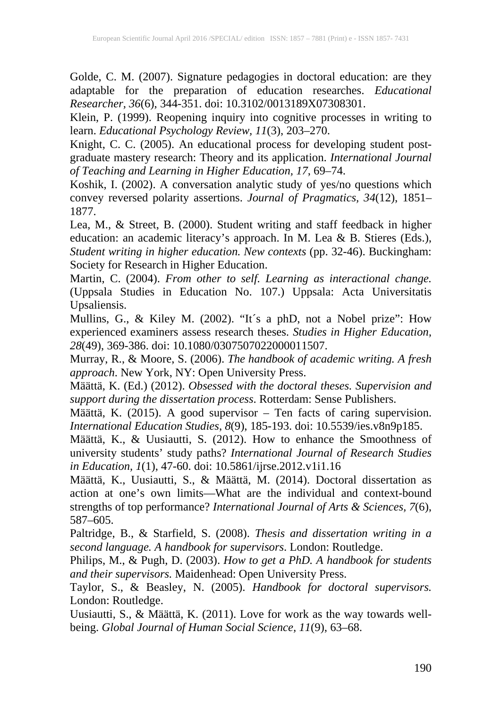Golde, C. M. (2007). Signature pedagogies in doctoral education: are they adaptable for the preparation of education researches. *Educational Researcher, 36*(6), 344-351. doi: 10.3102/0013189X07308301.

Klein, P. (1999). Reopening inquiry into cognitive processes in writing to learn. *Educational Psychology Review, 11*(3), 203–270.

Knight, C. C. (2005). An educational process for developing student postgraduate mastery research: Theory and its application. *International Journal of Teaching and Learning in Higher Education, 17*, 69–74.

Koshik, I. (2002). A conversation analytic study of yes/no questions which convey reversed polarity assertions. *Journal of Pragmatics, 34*(12), 1851– 1877.

Lea, M., & Street, B. (2000). Student writing and staff feedback in higher education: an academic literacy's approach. In M. Lea & B. Stieres (Eds.), *Student writing in higher education. New contexts* (pp. 32-46). Buckingham: Society for Research in Higher Education.

Martin, C. (2004). *From other to self. Learning as interactional change.* (Uppsala Studies in Education No. 107.) Uppsala: Acta Universitatis Upsaliensis.

Mullins, G., & Kiley M. (2002). "It´s a phD, not a Nobel prize": How experienced examiners assess research theses. *Studies in Higher Education, 28*(49), 369-386. doi: 10.1080/0307507022000011507.

Murray, R., & Moore, S. (2006). *The handbook of academic writing. A fresh approach*. New York, NY: Open University Press.

Määttä, K. (Ed.) (2012). *Obsessed with the doctoral theses. Supervision and support during the dissertation process*. Rotterdam: Sense Publishers.

Määttä, K. (2015). A good supervisor – Ten facts of caring supervision. *International Education Studies*, *8*(9), 185-193. doi: 10.5539/ies.v8n9p185.

Määttä, K., & Uusiautti, S. (2012). How to enhance the Smoothness of university students' study paths? *International Journal of Research Studies in Education, 1*(1), 47-60. doi: 10.5861/ijrse.2012.v1i1.16

Määttä, K., Uusiautti, S., & Määttä, M. (2014). Doctoral dissertation as action at one's own limits—What are the individual and context-bound strengths of top performance? *International Journal of Arts & Sciences, 7*(6), 587–605.

Paltridge, B., & Starfield, S. (2008). *Thesis and dissertation writing in a second language. A handbook for supervisors*. London: Routledge.

Philips, M., & Pugh, D. (2003). *How to get a PhD. A handbook for students and their supervisors.* Maidenhead: Open University Press.

Taylor, S., & Beasley, N. (2005). *Handbook for doctoral supervisors.* London: Routledge.

Uusiautti, S., & Määttä, K. (2011). Love for work as the way towards wellbeing. *Global Journal of Human Social Science, 11*(9), 63–68.